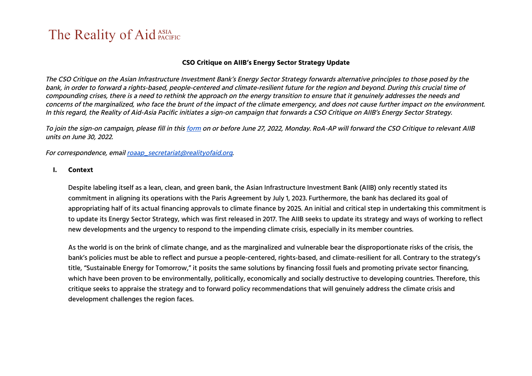#### **CSO Critique on AIIB's Energy Sector Strategy Update**

The CSO Critique on the Asian Infrastructure Investment Bank's Energy Sector Strategy forwards alternative principles to those posed by the bank, in order to forward <sup>a</sup> rights-based, people-centered and climate-resilient future for the region and beyond. During this crucial time of compounding crises, there is <sup>a</sup> need to rethink the approach on the energy transition to ensure that it genuinely addresses the needs and concerns of the marginalized, who face the brunt of the impact of the climate emergency, and does not cause further impact on the environment. In this regard, the Reality of Aid-Asia Pacific initiates <sup>a</sup> sign-on campaign that forwards <sup>a</sup> CSO Critique on AIIB's Energy Sector Strategy.

To join the sign-on campaign, please fill in this [form](https://forms.gle/qemK9KE6Mjx7BBfm9) on or before June 27, 2022, Monday. RoA-AP will forward the CSO Critique to relevant AIIB units on June 30, 2022.

For correspondence, email roaap secretariat@realityofaid.org.

**I. Context**

Despite labeling itself as a lean, clean, and green bank, the Asian Infrastructure Investment Bank (AIIB) only recently stated its commitment in aligning its operations with the Paris Agreement by July 1, 2023. Furthermore, the bank has declared its goal of appropriating half of its actual financing approvals to climate finance by 2025. An initial and critical step in undertaking this commitment is to update its Energy Sector Strategy, which was first released in 2017. The AIIB seeks to update its strategy and ways of working to reflect new developments and the urgency to respond to the impending climate crisis, especially in its member countries.

As the world is on the brink of climate change, and as the marginalized and vulnerable bear the disproportionate risks of the crisis, the bank's policies must be able to reflect and pursue a people-centered, rights-based, and climate-resilient for all. Contrary to the strategy's title, "Sustainable Energy for Tomorrow," it posits the same solutions by financing fossil fuels and promoting private sector financing, which have been proven to be environmentally, politically, economically and socially destructive to developing countries. Therefore, this critique seeks to appraise the strategy and to forward policy recommendations that will genuinely address the climate crisis and development challenges the region faces.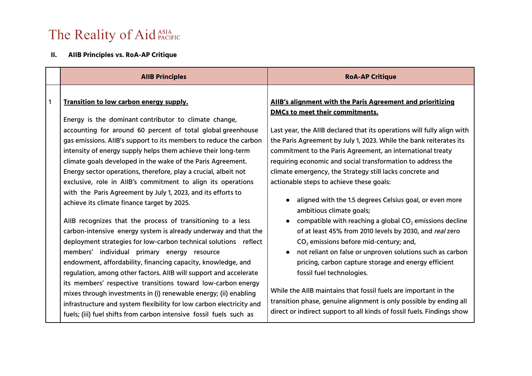#### **II. AIIB Principles vs. RoA-AP Critique**

|              | <b>AIIB Principles</b>                                                                                                                                                                                                                                                                                                                                                                                               | <b>RoA-AP Critique</b>                                                                                                                                                                                                                                                                                               |
|--------------|----------------------------------------------------------------------------------------------------------------------------------------------------------------------------------------------------------------------------------------------------------------------------------------------------------------------------------------------------------------------------------------------------------------------|----------------------------------------------------------------------------------------------------------------------------------------------------------------------------------------------------------------------------------------------------------------------------------------------------------------------|
| $\mathbf{1}$ | Transition to low carbon energy supply.<br>Energy is the dominant contributor to climate change,<br>accounting for around 60 percent of total global greenhouse                                                                                                                                                                                                                                                      | AIIB's alignment with the Paris Agreement and prioritizing<br><b>DMCs to meet their commitments.</b><br>Last year, the AIIB declared that its operations will fully align with                                                                                                                                       |
|              | gas emissions. AllB's support to its members to reduce the carbon<br>intensity of energy supply helps them achieve their long-term<br>climate goals developed in the wake of the Paris Agreement.<br>Energy sector operations, therefore, play a crucial, albeit not<br>exclusive, role in AIIB's commitment to align its operations                                                                                 | the Paris Agreement by July 1, 2023. While the bank reiterates its<br>commitment to the Paris Agreement, an international treaty<br>requiring economic and social transformation to address the<br>climate emergency, the Strategy still lacks concrete and<br>actionable steps to achieve these goals:              |
|              | with the Paris Agreement by July 1, 2023, and its efforts to<br>achieve its climate finance target by 2025.<br>AIIB recognizes that the process of transitioning to a less<br>carbon-intensive energy system is already underway and that the<br>deployment strategies for low-carbon technical solutions reflect<br>members' individual primary energy resource                                                     | aligned with the 1.5 degrees Celsius goal, or even more<br>ambitious climate goals;<br>compatible with reaching a global $CO2$ emissions decline<br>of at least 45% from 2010 levels by 2030, and real zero<br>$CO2$ emissions before mid-century; and,<br>not reliant on false or unproven solutions such as carbon |
|              | endowment, affordability, financing capacity, knowledge, and<br>regulation, among other factors. AllB will support and accelerate<br>its members' respective transitions toward low-carbon energy<br>mixes through investments in (i) renewable energy; (ii) enabling<br>infrastructure and system flexibility for low carbon electricity and<br>fuels; (iii) fuel shifts from carbon intensive fossil fuels such as | pricing, carbon capture storage and energy efficient<br>fossil fuel technologies.<br>While the AIIB maintains that fossil fuels are important in the<br>transition phase, genuine alignment is only possible by ending all<br>direct or indirect support to all kinds of fossil fuels. Findings show                 |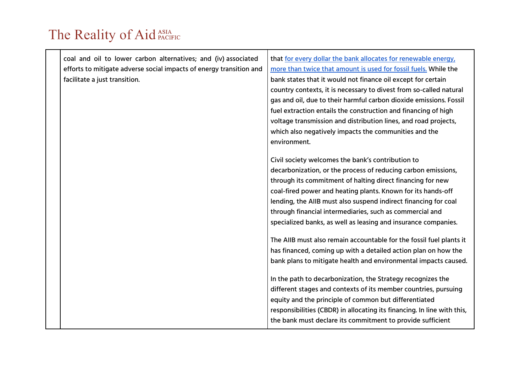| coal and oil to lower carbon alternatives; and (iv) associated      | that for every dollar the bank allocates for renewable energy,          |
|---------------------------------------------------------------------|-------------------------------------------------------------------------|
| efforts to mitigate adverse social impacts of energy transition and | more than twice that amount is used for fossil fuels. While the         |
| facilitate a just transition.                                       | bank states that it would not finance oil except for certain            |
|                                                                     | country contexts, it is necessary to divest from so-called natural      |
|                                                                     | gas and oil, due to their harmful carbon dioxide emissions. Fossil      |
|                                                                     | fuel extraction entails the construction and financing of high          |
|                                                                     | voltage transmission and distribution lines, and road projects,         |
|                                                                     | which also negatively impacts the communities and the                   |
|                                                                     | environment.                                                            |
|                                                                     | Civil society welcomes the bank's contribution to                       |
|                                                                     | decarbonization, or the process of reducing carbon emissions,           |
|                                                                     | through its commitment of halting direct financing for new              |
|                                                                     | coal-fired power and heating plants. Known for its hands-off            |
|                                                                     | lending, the AIIB must also suspend indirect financing for coal         |
|                                                                     | through financial intermediaries, such as commercial and                |
|                                                                     | specialized banks, as well as leasing and insurance companies.          |
|                                                                     | The AIIB must also remain accountable for the fossil fuel plants it     |
|                                                                     | has financed, coming up with a detailed action plan on how the          |
|                                                                     | bank plans to mitigate health and environmental impacts caused.         |
|                                                                     |                                                                         |
|                                                                     | In the path to decarbonization, the Strategy recognizes the             |
|                                                                     | different stages and contexts of its member countries, pursuing         |
|                                                                     | equity and the principle of common but differentiated                   |
|                                                                     | responsibilities (CBDR) in allocating its financing. In line with this, |
|                                                                     | the bank must declare its commitment to provide sufficient              |
|                                                                     |                                                                         |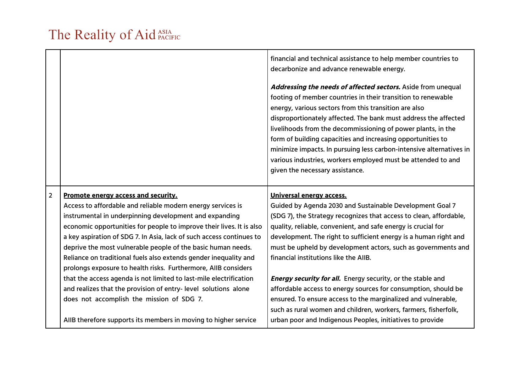|                |                                                                                                                                      | financial and technical assistance to help member countries to<br>decarbonize and advance renewable energy.                                                                                                                                                                                                                                                                                                                                                                                                                                                       |
|----------------|--------------------------------------------------------------------------------------------------------------------------------------|-------------------------------------------------------------------------------------------------------------------------------------------------------------------------------------------------------------------------------------------------------------------------------------------------------------------------------------------------------------------------------------------------------------------------------------------------------------------------------------------------------------------------------------------------------------------|
|                |                                                                                                                                      | Addressing the needs of affected sectors. Aside from unequal<br>footing of member countries in their transition to renewable<br>energy, various sectors from this transition are also<br>disproportionately affected. The bank must address the affected<br>livelihoods from the decommissioning of power plants, in the<br>form of building capacities and increasing opportunities to<br>minimize impacts. In pursuing less carbon-intensive alternatives in<br>various industries, workers employed must be attended to and<br>given the necessary assistance. |
|                |                                                                                                                                      |                                                                                                                                                                                                                                                                                                                                                                                                                                                                                                                                                                   |
| $\overline{2}$ | Promote energy access and security.                                                                                                  | Universal energy access.                                                                                                                                                                                                                                                                                                                                                                                                                                                                                                                                          |
|                | Access to affordable and reliable modern energy services is                                                                          | Guided by Agenda 2030 and Sustainable Development Goal 7                                                                                                                                                                                                                                                                                                                                                                                                                                                                                                          |
|                | instrumental in underpinning development and expanding                                                                               | (SDG 7), the Strategy recognizes that access to clean, affordable,                                                                                                                                                                                                                                                                                                                                                                                                                                                                                                |
|                | economic opportunities for people to improve their lives. It is also                                                                 | quality, reliable, convenient, and safe energy is crucial for                                                                                                                                                                                                                                                                                                                                                                                                                                                                                                     |
|                | a key aspiration of SDG 7. In Asia, lack of such access continues to                                                                 | development. The right to sufficient energy is a human right and                                                                                                                                                                                                                                                                                                                                                                                                                                                                                                  |
|                | deprive the most vulnerable people of the basic human needs.                                                                         | must be upheld by development actors, such as governments and                                                                                                                                                                                                                                                                                                                                                                                                                                                                                                     |
|                | Reliance on traditional fuels also extends gender inequality and                                                                     | financial institutions like the AIIB.                                                                                                                                                                                                                                                                                                                                                                                                                                                                                                                             |
|                | prolongs exposure to health risks. Furthermore, AIIB considers                                                                       |                                                                                                                                                                                                                                                                                                                                                                                                                                                                                                                                                                   |
|                | that the access agenda is not limited to last-mile electrification<br>and realizes that the provision of entry-level solutions alone | <b>Energy security for all.</b> Energy security, or the stable and<br>affordable access to energy sources for consumption, should be                                                                                                                                                                                                                                                                                                                                                                                                                              |
|                | does not accomplish the mission of SDG 7.                                                                                            | ensured. To ensure access to the marginalized and vulnerable,                                                                                                                                                                                                                                                                                                                                                                                                                                                                                                     |
|                |                                                                                                                                      | such as rural women and children, workers, farmers, fisherfolk,                                                                                                                                                                                                                                                                                                                                                                                                                                                                                                   |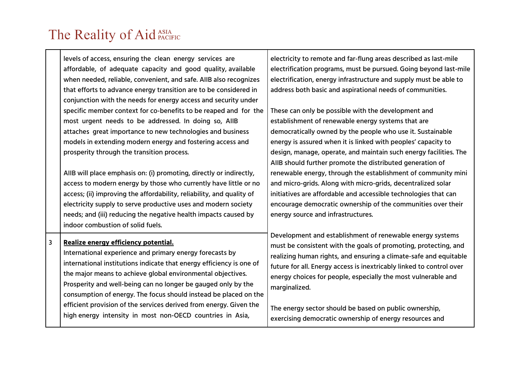levels of access, ensuring the clean energy services are affordable, of adequate capacity and good quality, available when needed, reliable, convenient, and safe. AIIB also recognizes that efforts to advance energy transition are to be considered in conjunction with the needs for energy access and security under specific member context for co-benefits to be reaped and for the most urgent needs to be addressed. In doing so, AIIB attaches great importance to new technologies and business models in extending modern energy and fostering access and prosperity through the transition process. AIIB will place emphasis on: (i) promoting, directly or indirectly, access to modern energy by those who currently have little or no access; (ii) improving the affordability, reliability, and quality of electricity supply to serve productive uses and modern society needs; and (iii) reducing the negative health impacts caused by indoor combustion of solid fuels. electricity to remote and far-flung areas described as last-mile electrification programs, must be pursued. Going beyond last-mile electrification, energy infrastructure and supply must be able to address both basic and aspirational needs of communities. These can only be possible with the development and establishment of renewable energy systems that are democratically owned by the people who use it. Sustainable energy is assured when it is linked with peoples' capacity to design, manage, operate, and maintain such energy facilities. The AIIB should further promote the distributed generation of renewable energy, through the establishment of community mini and micro-grids. Along with micro-grids, decentralized solar initiatives are affordable and accessible technologies that can encourage democratic ownership of the communities over their energy source and infrastructures. Development and establishment of renewable energy systems must be consistent with the goals of promoting, protecting, and realizing human rights, and ensuring a climate-safe and equitable future for all. Energy access is inextricably linked to control over energy choices for people, especially the most vulnerable and marginalized. The energy sector should be based on public ownership, exercising democratic ownership of energy resources and 3 **Realize energy efficiency potential.** International experience and primary energy forecasts by international institutions indicate that energy efficiency is one of the major means to achieve global environmental objectives. Prosperity and well-being can no longer be gauged only by the consumption of energy. The focus should instead be placed on the efficient provision of the services derived from energy. Given the high energy intensity in most non-OECD countries in Asia,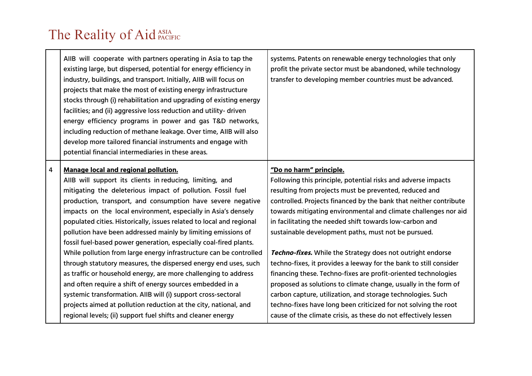|   | AIIB will cooperate with partners operating in Asia to tap the<br>existing large, but dispersed, potential for energy efficiency in<br>industry, buildings, and transport. Initially, AIIB will focus on<br>projects that make the most of existing energy infrastructure<br>stocks through (i) rehabilitation and upgrading of existing energy<br>facilities; and (ii) aggressive loss reduction and utility-driven<br>energy efficiency programs in power and gas T&D networks,<br>including reduction of methane leakage. Over time, AIIB will also<br>develop more tailored financial instruments and engage with<br>potential financial intermediaries in these areas. | systems. Patents on renewable energy technologies that only<br>profit the private sector must be abandoned, while technology<br>transfer to developing member countries must be advanced.                                                                                                                                                                                                                                                                                                                                                              |
|---|-----------------------------------------------------------------------------------------------------------------------------------------------------------------------------------------------------------------------------------------------------------------------------------------------------------------------------------------------------------------------------------------------------------------------------------------------------------------------------------------------------------------------------------------------------------------------------------------------------------------------------------------------------------------------------|--------------------------------------------------------------------------------------------------------------------------------------------------------------------------------------------------------------------------------------------------------------------------------------------------------------------------------------------------------------------------------------------------------------------------------------------------------------------------------------------------------------------------------------------------------|
| 4 | <b>Manage local and regional pollution.</b><br>AIIB will support its clients in reducing, limiting, and<br>mitigating the deleterious impact of pollution. Fossil fuel<br>production, transport, and consumption have severe negative<br>impacts on the local environment, especially in Asia's densely<br>populated cities. Historically, issues related to local and regional<br>pollution have been addressed mainly by limiting emissions of<br>fossil fuel-based power generation, especially coal-fired plants.<br>While pollution from large energy infrastructure can be controlled<br>through statutory measures, the dispersed energy end uses, such              | "Do no harm" principle.<br>Following this principle, potential risks and adverse impacts<br>resulting from projects must be prevented, reduced and<br>controlled. Projects financed by the bank that neither contribute<br>towards mitigating environmental and climate challenges nor aid<br>in facilitating the needed shift towards low-carbon and<br>sustainable development paths, must not be pursued.<br><b>Techno-fixes.</b> While the Strategy does not outright endorse<br>techno-fixes, it provides a leeway for the bank to still consider |
|   | as traffic or household energy, are more challenging to address<br>and often require a shift of energy sources embedded in a<br>systemic transformation. AIIB will (i) support cross-sectoral<br>projects aimed at pollution reduction at the city, national, and<br>regional levels; (ii) support fuel shifts and cleaner energy                                                                                                                                                                                                                                                                                                                                           | financing these. Techno-fixes are profit-oriented technologies<br>proposed as solutions to climate change, usually in the form of<br>carbon capture, utilization, and storage technologies. Such<br>techno-fixes have long been criticized for not solving the root<br>cause of the climate crisis, as these do not effectively lessen                                                                                                                                                                                                                 |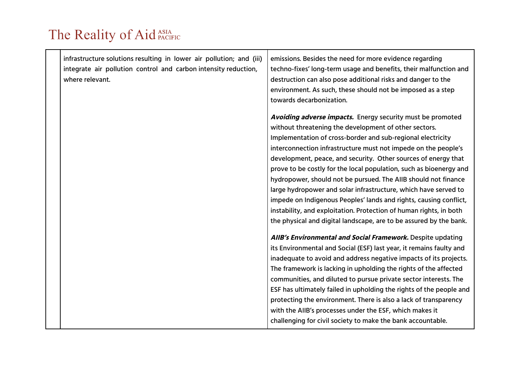| infrastructure solutions resulting in lower air pollution; and (iii) | emissions. Besides the need for more evidence regarding             |
|----------------------------------------------------------------------|---------------------------------------------------------------------|
| integrate air pollution control and carbon intensity reduction,      | techno-fixes' long-term usage and benefits, their malfunction and   |
| where relevant.                                                      | destruction can also pose additional risks and danger to the        |
|                                                                      | environment. As such, these should not be imposed as a step         |
|                                                                      | towards decarbonization.                                            |
|                                                                      | Avoiding adverse impacts. Energy security must be promoted          |
|                                                                      | without threatening the development of other sectors.               |
|                                                                      | Implementation of cross-border and sub-regional electricity         |
|                                                                      | interconnection infrastructure must not impede on the people's      |
|                                                                      | development, peace, and security. Other sources of energy that      |
|                                                                      | prove to be costly for the local population, such as bioenergy and  |
|                                                                      | hydropower, should not be pursued. The AIIB should not finance      |
|                                                                      | large hydropower and solar infrastructure, which have served to     |
|                                                                      | impede on Indigenous Peoples' lands and rights, causing conflict,   |
|                                                                      | instability, and exploitation. Protection of human rights, in both  |
|                                                                      | the physical and digital landscape, are to be assured by the bank.  |
|                                                                      | AIIB's Environmental and Social Framework. Despite updating         |
|                                                                      | its Environmental and Social (ESF) last year, it remains faulty and |
|                                                                      | inadequate to avoid and address negative impacts of its projects.   |
|                                                                      | The framework is lacking in upholding the rights of the affected    |
|                                                                      | communities, and diluted to pursue private sector interests. The    |
|                                                                      | ESF has ultimately failed in upholding the rights of the people and |
|                                                                      | protecting the environment. There is also a lack of transparency    |
|                                                                      | with the AIIB's processes under the ESF, which makes it             |
|                                                                      | challenging for civil society to make the bank accountable.         |
|                                                                      |                                                                     |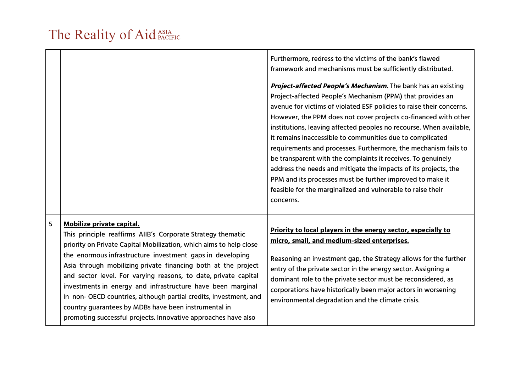|   |                                                                                                                                                                                                                                                                                                                                                                                                                                                                                                                                                                                                                               | Furthermore, redress to the victims of the bank's flawed<br>framework and mechanisms must be sufficiently distributed.                                                                                                                                                                                                                                                                                                                                                                                                                                                                                                                                                                                                                                    |
|---|-------------------------------------------------------------------------------------------------------------------------------------------------------------------------------------------------------------------------------------------------------------------------------------------------------------------------------------------------------------------------------------------------------------------------------------------------------------------------------------------------------------------------------------------------------------------------------------------------------------------------------|-----------------------------------------------------------------------------------------------------------------------------------------------------------------------------------------------------------------------------------------------------------------------------------------------------------------------------------------------------------------------------------------------------------------------------------------------------------------------------------------------------------------------------------------------------------------------------------------------------------------------------------------------------------------------------------------------------------------------------------------------------------|
|   |                                                                                                                                                                                                                                                                                                                                                                                                                                                                                                                                                                                                                               | Project-affected People's Mechanism. The bank has an existing<br>Project-affected People's Mechanism (PPM) that provides an<br>avenue for victims of violated ESF policies to raise their concerns.<br>However, the PPM does not cover projects co-financed with other<br>institutions, leaving affected peoples no recourse. When available,<br>it remains inaccessible to communities due to complicated<br>requirements and processes. Furthermore, the mechanism fails to<br>be transparent with the complaints it receives. To genuinely<br>address the needs and mitigate the impacts of its projects, the<br>PPM and its processes must be further improved to make it<br>feasible for the marginalized and vulnerable to raise their<br>concerns. |
| 5 | Mobilize private capital.<br>This principle reaffirms AIIB's Corporate Strategy thematic<br>priority on Private Capital Mobilization, which aims to help close<br>the enormous infrastructure investment gaps in developing<br>Asia through mobilizing private financing both at the project<br>and sector level. For varying reasons, to date, private capital<br>investments in energy and infrastructure have been marginal<br>in non- OECD countries, although partial credits, investment, and<br>country guarantees by MDBs have been instrumental in<br>promoting successful projects. Innovative approaches have also | Priority to local players in the energy sector, especially to<br>micro, small, and medium-sized enterprises.<br>Reasoning an investment gap, the Strategy allows for the further<br>entry of the private sector in the energy sector. Assigning a<br>dominant role to the private sector must be reconsidered, as<br>corporations have historically been major actors in worsening<br>environmental degradation and the climate crisis.                                                                                                                                                                                                                                                                                                                   |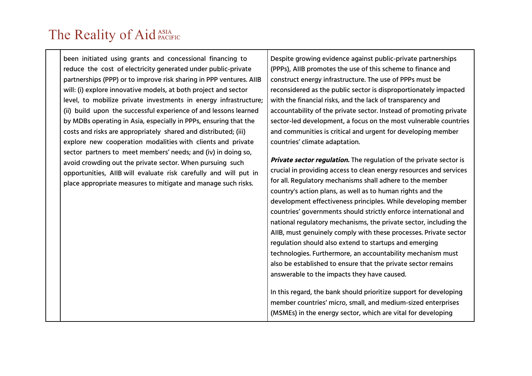been initiated using grants and concessional financing to reduce the cost of electricity generated under public-private partnerships (PPP) or to improve risk sharing in PPP ventures. AIIB will: (i) explore innovative models, at both project and sector level, to mobilize private investments in energy infrastructure; (ii) build upon the successful experience of and lessons learned by MDBs operating in Asia, especially in PPPs, ensuring that the costs and risks are appropriately shared and distributed; (iii) explore new cooperation modalities with clients and private sector partners to meet members' needs; and (iv) in doing so, avoid crowding out the private sector. When pursuing such opportunities, AIIB will evaluate risk carefully and will put in place appropriate measures to mitigate and manage such risks.

Despite growing evidence against public-private partnerships (PPPs), AIIB promotes the use of this scheme to finance and construct energy infrastructure. The use of PPPs must be reconsidered as the public sector is disproportionately impacted with the financial risks, and the lack of transparency and accountability of the private sector. Instead of promoting private sector-led development, a focus on the most vulnerable countries and communities is critical and urgent for developing member countries' climate adaptation.

**Private sector regulation.** The regulation of the private sector is crucial in providing access to clean energy resources and services for all. Regulatory mechanisms shall adhere to the member country's action plans, as well as to human rights and the development effectiveness principles. While developing member countries' governments should strictly enforce international and national regulatory mechanisms, the private sector, including the AIIB, must genuinely comply with these processes. Private sector regulation should also extend to startups and emerging technologies. Furthermore, an accountability mechanism must also be established to ensure that the private sector remains answerable to the impacts they have caused.

In this regard, the bank should prioritize support for developing member countries' micro, small, and medium-sized enterprises (MSMEs) in the energy sector, which are vital for developing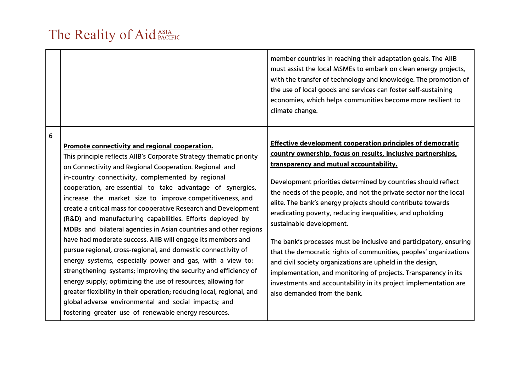|   |                                                                                                                                                                                                                                                                                                                                                                                                                                                                                                                                                                                                                                                                                                                                                                                                                                                                                                                                                                                                                                                                                             | member countries in reaching their adaptation goals. The AIIB<br>must assist the local MSMEs to embark on clean energy projects,<br>with the transfer of technology and knowledge. The promotion of<br>the use of local goods and services can foster self-sustaining<br>economies, which helps communities become more resilient to<br>climate change.                                                                                                                                                                                                                                                                                                                                                                                                                                                                                                   |
|---|---------------------------------------------------------------------------------------------------------------------------------------------------------------------------------------------------------------------------------------------------------------------------------------------------------------------------------------------------------------------------------------------------------------------------------------------------------------------------------------------------------------------------------------------------------------------------------------------------------------------------------------------------------------------------------------------------------------------------------------------------------------------------------------------------------------------------------------------------------------------------------------------------------------------------------------------------------------------------------------------------------------------------------------------------------------------------------------------|-----------------------------------------------------------------------------------------------------------------------------------------------------------------------------------------------------------------------------------------------------------------------------------------------------------------------------------------------------------------------------------------------------------------------------------------------------------------------------------------------------------------------------------------------------------------------------------------------------------------------------------------------------------------------------------------------------------------------------------------------------------------------------------------------------------------------------------------------------------|
| 6 | Promote connectivity and regional cooperation.<br>This principle reflects AIIB's Corporate Strategy thematic priority<br>on Connectivity and Regional Cooperation. Regional and<br>in-country connectivity, complemented by regional<br>cooperation, are essential to take advantage of synergies,<br>increase the market size to improve competitiveness, and<br>create a critical mass for cooperative Research and Development<br>(R&D) and manufacturing capabilities. Efforts deployed by<br>MDBs and bilateral agencies in Asian countries and other regions<br>have had moderate success. AIIB will engage its members and<br>pursue regional, cross-regional, and domestic connectivity of<br>energy systems, especially power and gas, with a view to:<br>strengthening systems; improving the security and efficiency of<br>energy supply; optimizing the use of resources; allowing for<br>greater flexibility in their operation; reducing local, regional, and<br>global adverse environmental and social impacts; and<br>fostering greater use of renewable energy resources. | <b>Effective development cooperation principles of democratic</b><br>country ownership, focus on results, inclusive partnerships,<br>transparency and mutual accountability.<br>Development priorities determined by countries should reflect<br>the needs of the people, and not the private sector nor the local<br>elite. The bank's energy projects should contribute towards<br>eradicating poverty, reducing inequalities, and upholding<br>sustainable development.<br>The bank's processes must be inclusive and participatory, ensuring<br>that the democratic rights of communities, peoples' organizations<br>and civil society organizations are upheld in the design,<br>implementation, and monitoring of projects. Transparency in its<br>investments and accountability in its project implementation are<br>also demanded from the bank. |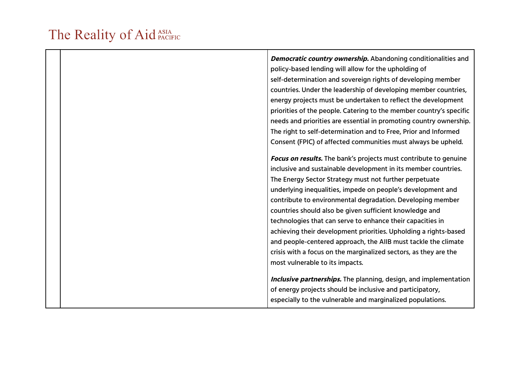| <b>Democratic country ownership.</b> Abandoning conditionalities and    |
|-------------------------------------------------------------------------|
| policy-based lending will allow for the upholding of                    |
| self-determination and sovereign rights of developing member            |
| countries. Under the leadership of developing member countries,         |
| energy projects must be undertaken to reflect the development           |
| priorities of the people. Catering to the member country's specific     |
| needs and priorities are essential in promoting country ownership.      |
| The right to self-determination and to Free, Prior and Informed         |
| Consent (FPIC) of affected communities must always be upheld.           |
|                                                                         |
| Focus on results. The bank's projects must contribute to genuine        |
| inclusive and sustainable development in its member countries.          |
| The Energy Sector Strategy must not further perpetuate                  |
| underlying inequalities, impede on people's development and             |
| contribute to environmental degradation. Developing member              |
| countries should also be given sufficient knowledge and                 |
| technologies that can serve to enhance their capacities in              |
| achieving their development priorities. Upholding a rights-based        |
| and people-centered approach, the AIIB must tackle the climate          |
| crisis with a focus on the marginalized sectors, as they are the        |
| most vulnerable to its impacts.                                         |
|                                                                         |
| <b>Inclusive partnerships.</b> The planning, design, and implementation |
| of energy projects should be inclusive and participatory,               |
| especially to the vulnerable and marginalized populations.              |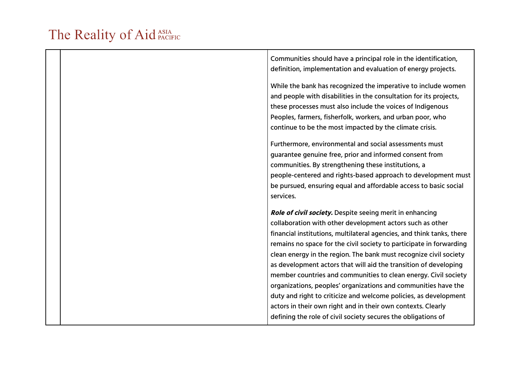|  | Communities should have a principal role in the identification,<br>definition, implementation and evaluation of energy projects.                                                                                                                                                                                           |
|--|----------------------------------------------------------------------------------------------------------------------------------------------------------------------------------------------------------------------------------------------------------------------------------------------------------------------------|
|  | While the bank has recognized the imperative to include women<br>and people with disabilities in the consultation for its projects,<br>these processes must also include the voices of Indigenous<br>Peoples, farmers, fisherfolk, workers, and urban poor, who                                                            |
|  | continue to be the most impacted by the climate crisis.                                                                                                                                                                                                                                                                    |
|  | Furthermore, environmental and social assessments must<br>guarantee genuine free, prior and informed consent from<br>communities. By strengthening these institutions, a<br>people-centered and rights-based approach to development must<br>be pursued, ensuring equal and affordable access to basic social<br>services. |
|  | <b>Role of civil society.</b> Despite seeing merit in enhancing                                                                                                                                                                                                                                                            |
|  | collaboration with other development actors such as other                                                                                                                                                                                                                                                                  |
|  | financial institutions, multilateral agencies, and think tanks, there                                                                                                                                                                                                                                                      |
|  | remains no space for the civil society to participate in forwarding                                                                                                                                                                                                                                                        |
|  | clean energy in the region. The bank must recognize civil society<br>as development actors that will aid the transition of developing                                                                                                                                                                                      |
|  | member countries and communities to clean energy. Civil society                                                                                                                                                                                                                                                            |
|  | organizations, peoples' organizations and communities have the                                                                                                                                                                                                                                                             |
|  | duty and right to criticize and welcome policies, as development                                                                                                                                                                                                                                                           |
|  | actors in their own right and in their own contexts. Clearly                                                                                                                                                                                                                                                               |
|  | defining the role of civil society secures the obligations of                                                                                                                                                                                                                                                              |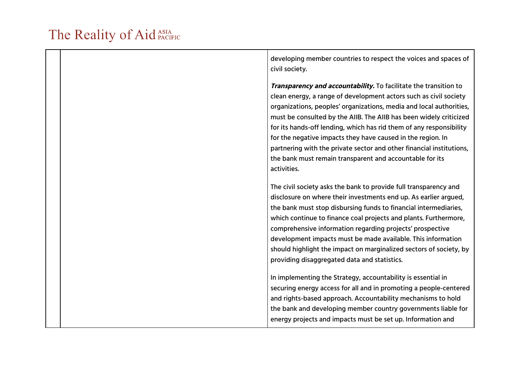| developing member countries to respect the voices and spaces of<br>civil society.                                                                                                                                                                                                                                                                                                                                                                                                                                                                                           |
|-----------------------------------------------------------------------------------------------------------------------------------------------------------------------------------------------------------------------------------------------------------------------------------------------------------------------------------------------------------------------------------------------------------------------------------------------------------------------------------------------------------------------------------------------------------------------------|
| Transparency and accountability. To facilitate the transition to<br>clean energy, a range of development actors such as civil society<br>organizations, peoples' organizations, media and local authorities,<br>must be consulted by the AIIB. The AIIB has been widely criticized<br>for its hands-off lending, which has rid them of any responsibility<br>for the negative impacts they have caused in the region. In<br>partnering with the private sector and other financial institutions,<br>the bank must remain transparent and accountable for its<br>activities. |
| The civil society asks the bank to provide full transparency and<br>disclosure on where their investments end up. As earlier argued,<br>the bank must stop disbursing funds to financial intermediaries,<br>which continue to finance coal projects and plants. Furthermore,<br>comprehensive information regarding projects' prospective<br>development impacts must be made available. This information<br>should highlight the impact on marginalized sectors of society, by<br>providing disaggregated data and statistics.                                             |
| In implementing the Strategy, accountability is essential in<br>securing energy access for all and in promoting a people-centered<br>and rights-based approach. Accountability mechanisms to hold<br>the bank and developing member country governments liable for<br>energy projects and impacts must be set up. Information and                                                                                                                                                                                                                                           |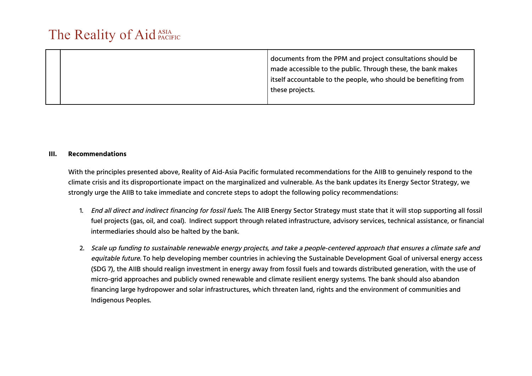|  | documents from the PPM and project consultations should be      |
|--|-----------------------------------------------------------------|
|  | made accessible to the public. Through these, the bank makes    |
|  | itself accountable to the people, who should be benefiting from |
|  | these projects.                                                 |
|  |                                                                 |

#### **III. Recommendations**

With the principles presented above, Reality of Aid-Asia Pacific formulated recommendations for the AIIB to genuinely respond to the climate crisis and its disproportionate impact on the marginalized and vulnerable. As the bank updates its Energy Sector Strategy, we strongly urge the AIIB to take immediate and concrete steps to adopt the following policy recommendations:

- 1. End all direct and indirect financing for fossil fuels. The AIIB Energy Sector Strategy must state that it will stop supporting all fossil fuel projects (gas, oil, and coal). Indirect support through related infrastructure, advisory services, technical assistance, or financial intermediaries should also be halted by the bank.
- 2. Scale up funding to sustainable renewable energy projects, and take <sup>a</sup> people-centered approach that ensures <sup>a</sup> climate safe and equitable future. To help developing member countries in achieving the Sustainable Development Goal of universal energy access (SDG 7), the AIIB should realign investment in energy away from fossil fuels and towards distributed generation, with the use of micro-grid approaches and publicly owned renewable and climate resilient energy systems. The bank should also abandon financing large hydropower and solar infrastructures, which threaten land, rights and the environment of communities and Indigenous Peoples.